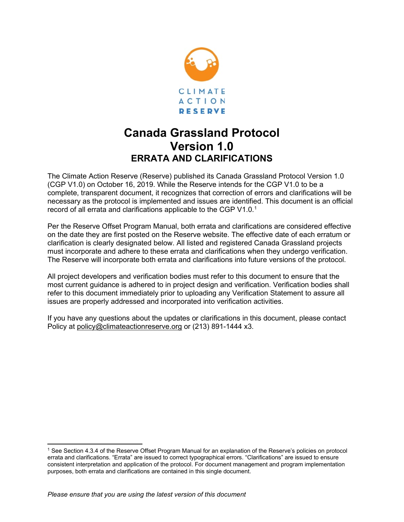

## **Canada Grassland Protocol Version 1.0 ERRATA AND CLARIFICATIONS**

The Climate Action Reserve (Reserve) published its Canada Grassland Protocol Version 1.0 (CGP V1.0) on October 16, 2019. While the Reserve intends for the CGP V1.0 to be a complete, transparent document, it recognizes that correction of errors and clarifications will be necessary as the protocol is implemented and issues are identified. This document is an official record of all errata and clarifications applicable to the CGP V[1](#page-0-0).0. $^1$ 

Per the Reserve Offset Program Manual, both errata and clarifications are considered effective on the date they are first posted on the Reserve website. The effective date of each erratum or clarification is clearly designated below. All listed and registered Canada Grassland projects must incorporate and adhere to these errata and clarifications when they undergo verification. The Reserve will incorporate both errata and clarifications into future versions of the protocol.

All project developers and verification bodies must refer to this document to ensure that the most current guidance is adhered to in project design and verification. Verification bodies shall refer to this document immediately prior to uploading any Verification Statement to assure all issues are properly addressed and incorporated into verification activities.

If you have any questions about the updates or clarifications in this document, please contact Policy at [policy@climateactionreserve.org](mailto:policy@climateactionreserve.org) or (213) 891-1444 x3.

<span id="page-0-0"></span><sup>1</sup> See Section 4.3.4 of the Reserve Offset Program Manual for an explanation of the Reserve's policies on protocol errata and clarifications. "Errata" are issued to correct typographical errors. "Clarifications" are issued to ensure consistent interpretation and application of the protocol. For document management and program implementation purposes, both errata and clarifications are contained in this single document.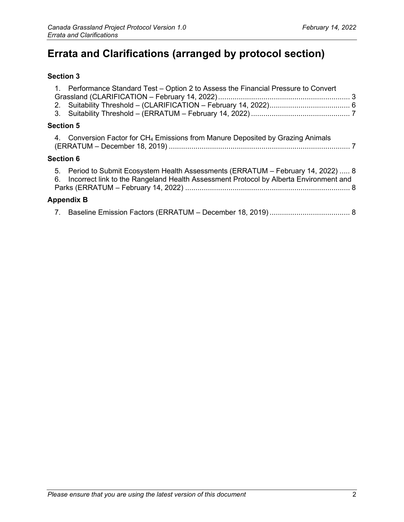# **Errata and Clarifications (arranged by protocol section)**

#### **[Section 3](#page-2-0)**

|  | 1. Performance Standard Test – Option 2 to Assess the Financial Pressure to Convert                                                                                           |  |
|--|-------------------------------------------------------------------------------------------------------------------------------------------------------------------------------|--|
|  |                                                                                                                                                                               |  |
|  |                                                                                                                                                                               |  |
|  |                                                                                                                                                                               |  |
|  | <b>Section 5</b>                                                                                                                                                              |  |
|  | 4. Conversion Factor for CH <sub>4</sub> Emissions from Manure Deposited by Grazing Animals                                                                                   |  |
|  | <b>Section 6</b>                                                                                                                                                              |  |
|  | 5. Period to Submit Ecosystem Health Assessments (ERRATUM – February 14, 2022)  8<br>6. Incorrect link to the Rangeland Health Assessment Protocol by Alberta Environment and |  |
|  | <b>Appendix B</b>                                                                                                                                                             |  |
|  |                                                                                                                                                                               |  |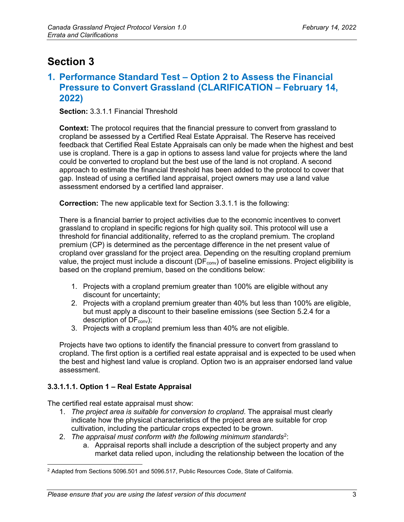## <span id="page-2-0"></span>**Section 3**

### <span id="page-2-1"></span>**1. Performance Standard Test – Option 2 to Assess the Financial Pressure to Convert Grassland (CLARIFICATION – February 14, 2022)**

**Section:** 3.3.1.1 Financial Threshold

**Context:** The protocol requires that the financial pressure to convert from grassland to cropland be assessed by a Certified Real Estate Appraisal. The Reserve has received feedback that Certified Real Estate Appraisals can only be made when the highest and best use is cropland. There is a gap in options to assess land value for projects where the land could be converted to cropland but the best use of the land is not cropland. A second approach to estimate the financial threshold has been added to the protocol to cover that gap. Instead of using a certified land appraisal, project owners may use a land value assessment endorsed by a certified land appraiser.

**Correction:** The new applicable text for Section 3.3.1.1 is the following:

There is a financial barrier to project activities due to the economic incentives to convert grassland to cropland in specific regions for high quality soil. This protocol will use a threshold for financial additionality, referred to as the cropland premium. The cropland premium (CP) is determined as the percentage difference in the net present value of cropland over grassland for the project area. Depending on the resulting cropland premium value, the project must include a discount ( $DF_{conv}$ ) of baseline emissions. Project eligibility is based on the cropland premium, based on the conditions below:

- 1. Projects with a cropland premium greater than 100% are eligible without any discount for uncertainty;
- 2. Projects with a cropland premium greater than 40% but less than 100% are eligible, but must apply a discount to their baseline emissions (see Section 5.2.4 for a description of  $DF_{conv}$ );
- 3. Projects with a cropland premium less than 40% are not eligible.

Projects have two options to identify the financial pressure to convert from grassland to cropland. The first option is a certified real estate appraisal and is expected to be used when the best and highest land value is cropland. Option two is an appraiser endorsed land value assessment.

#### **3.3.1.1.1. Option 1 – Real Estate Appraisal**

The certified real estate appraisal must show:

- 1. *The project area is suitable for conversion to cropland*. The appraisal must clearly indicate how the physical characteristics of the project area are suitable for crop cultivation, including the particular crops expected to be grown.
- [2](#page-2-2). The appraisal must conform with the following minimum standards<sup>2</sup>:
	- a. Appraisal reports shall include a description of the subject property and any market data relied upon, including the relationship between the location of the

<span id="page-2-2"></span><sup>2</sup> Adapted from Sections 5096.501 and 5096.517, Public Resources Code, State of California.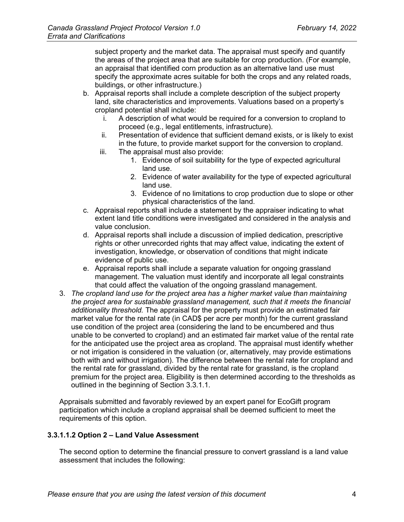subject property and the market data. The appraisal must specify and quantify the areas of the project area that are suitable for crop production. (For example, an appraisal that identified corn production as an alternative land use must specify the approximate acres suitable for both the crops and any related roads, buildings, or other infrastructure.)

- b. Appraisal reports shall include a complete description of the subject property land, site characteristics and improvements. Valuations based on a property's cropland potential shall include:
	- i. A description of what would be required for a conversion to cropland to proceed (e.g., legal entitlements, infrastructure).
	- ii. Presentation of evidence that sufficient demand exists, or is likely to exist in the future, to provide market support for the conversion to cropland.
	- iii. The appraisal must also provide:
		- 1. Evidence of soil suitability for the type of expected agricultural land use.
		- 2. Evidence of water availability for the type of expected agricultural land use.
		- 3. Evidence of no limitations to crop production due to slope or other physical characteristics of the land.
- c. Appraisal reports shall include a statement by the appraiser indicating to what extent land title conditions were investigated and considered in the analysis and value conclusion.
- d. Appraisal reports shall include a discussion of implied dedication, prescriptive rights or other unrecorded rights that may affect value, indicating the extent of investigation, knowledge, or observation of conditions that might indicate evidence of public use.
- e. Appraisal reports shall include a separate valuation for ongoing grassland management. The valuation must identify and incorporate all legal constraints that could affect the valuation of the ongoing grassland management.
- 3. *The cropland land use for the project area has a higher market value than maintaining the project area for sustainable grassland management, such that it meets the financial additionality threshold.* The appraisal for the property must provide an estimated fair market value for the rental rate (in CAD\$ per acre per month) for the current grassland use condition of the project area (considering the land to be encumbered and thus unable to be converted to cropland) and an estimated fair market value of the rental rate for the anticipated use the project area as cropland. The appraisal must identify whether or not irrigation is considered in the valuation (or, alternatively, may provide estimations both with and without irrigation). The difference between the rental rate for cropland and the rental rate for grassland, divided by the rental rate for grassland, is the cropland premium for the project area. Eligibility is then determined according to the thresholds as outlined in the beginning of Section 3.3.1.1.

Appraisals submitted and favorably reviewed by an expert panel for EcoGift program participation which include a cropland appraisal shall be deemed sufficient to meet the requirements of this option.

#### **3.3.1.1.2 Option 2 – Land Value Assessment**

The second option to determine the financial pressure to convert grassland is a land value assessment that includes the following: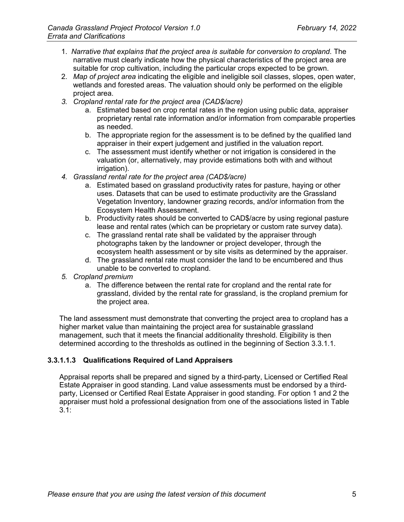- 1. *Narrative that explains that the project area is suitable for conversion to cropland*. The narrative must clearly indicate how the physical characteristics of the project area are suitable for crop cultivation, including the particular crops expected to be grown.
- 2. *Map of project area* indicating the eligible and ineligible soil classes, slopes, open water, wetlands and forested areas. The valuation should only be performed on the eligible project area.
- *3. Cropland rental rate for the project area (CAD\$/acre)* 
	- a. Estimated based on crop rental rates in the region using public data, appraiser proprietary rental rate information and/or information from comparable properties as needed.
	- b. The appropriate region for the assessment is to be defined by the qualified land appraiser in their expert judgement and justified in the valuation report.
	- c. The assessment must identify whether or not irrigation is considered in the valuation (or, alternatively, may provide estimations both with and without irrigation).
- *4. Grassland rental rate for the project area (CAD\$/acre)*
	- a. Estimated based on grassland productivity rates for pasture, haying or other uses. Datasets that can be used to estimate productivity are the Grassland Vegetation Inventory, landowner grazing records, and/or information from the Ecosystem Health Assessment.
	- b. Productivity rates should be converted to CAD\$/acre by using regional pasture lease and rental rates (which can be proprietary or custom rate survey data).
	- c. The grassland rental rate shall be validated by the appraiser through photographs taken by the landowner or project developer, through the ecosystem health assessment or by site visits as determined by the appraiser.
	- d. The grassland rental rate must consider the land to be encumbered and thus unable to be converted to cropland.
- *5. Cropland premium*
	- a. The difference between the rental rate for cropland and the rental rate for grassland, divided by the rental rate for grassland, is the cropland premium for the project area.

The land assessment must demonstrate that converting the project area to cropland has a higher market value than maintaining the project area for sustainable grassland management, such that it meets the financial additionality threshold. Eligibility is then determined according to the thresholds as outlined in the beginning of Section 3.3.1.1.

#### **3.3.1.1.3 Qualifications Required of Land Appraisers**

Appraisal reports shall be prepared and signed by a third-party, Licensed or Certified Real Estate Appraiser in good standing. Land value assessments must be endorsed by a thirdparty, Licensed or Certified Real Estate Appraiser in good standing. For option 1 and 2 the appraiser must hold a professional designation from one of the associations listed in [Table](#page-5-1)   $3.1:$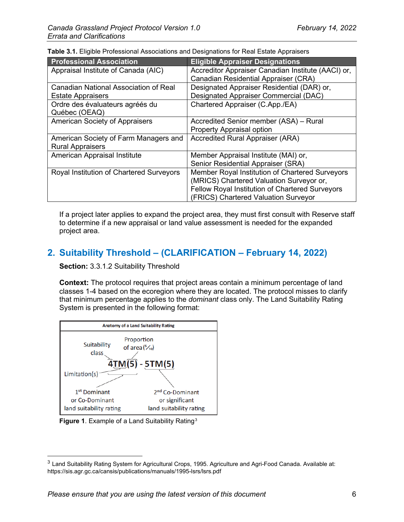| <b>Professional Association</b>              | <b>Eligible Appraiser Designations</b>             |
|----------------------------------------------|----------------------------------------------------|
| Appraisal Institute of Canada (AIC)          | Accreditor Appraiser Canadian Institute (AACI) or, |
|                                              | <b>Canadian Residential Appraiser (CRA)</b>        |
| <b>Canadian National Association of Real</b> | Designated Appraiser Residential (DAR) or,         |
| <b>Estate Appraisers</b>                     | <b>Designated Appraiser Commercial (DAC)</b>       |
| Ordre des évaluateurs agréés du              | Chartered Appraiser (C.App./EA)                    |
| Québec (OEAQ)                                |                                                    |
| <b>American Society of Appraisers</b>        | Accredited Senior member (ASA) – Rural             |
|                                              | <b>Property Appraisal option</b>                   |
| American Society of Farm Managers and        | <b>Accredited Rural Appraiser (ARA)</b>            |
| <b>Rural Appraisers</b>                      |                                                    |
| American Appraisal Institute                 | Member Appraisal Institute (MAI) or,               |
|                                              | Senior Residential Appraiser (SRA)                 |
| Royal Institution of Chartered Surveyors     | Member Royal Institution of Chartered Surveyors    |
|                                              | (MRICS) Chartered Valuation Surveyor or,           |
|                                              | Fellow Royal Institution of Chartered Surveyors    |
|                                              | (FRICS) Chartered Valuation Surveyor               |

<span id="page-5-1"></span>**Table 3.1.** Eligible Professional Associations and Designations for Real Estate Appraisers

If a project later applies to expand the project area, they must first consult with Reserve staff to determine if a new appraisal or land value assessment is needed for the expanded project area.

## <span id="page-5-0"></span>**2. Suitability Threshold – (CLARIFICATION – February 14, 2022)**

**Section:** 3.3.1.2 Suitability Threshold

**Context:** The protocol requires that project areas contain a minimum percentage of land classes 1-4 based on the ecoregion where they are located. The protocol misses to clarify that minimum percentage applies to the *dominant* class only. The Land Suitability Rating System is presented in the following format:





<span id="page-5-2"></span><sup>&</sup>lt;sup>3</sup> Land Suitability Rating System for Agricultural Crops, 1995. Agriculture and Agri-Food Canada. Available at: https://sis.agr.gc.ca/cansis/publications/manuals/1995-lsrs/lsrs.pdf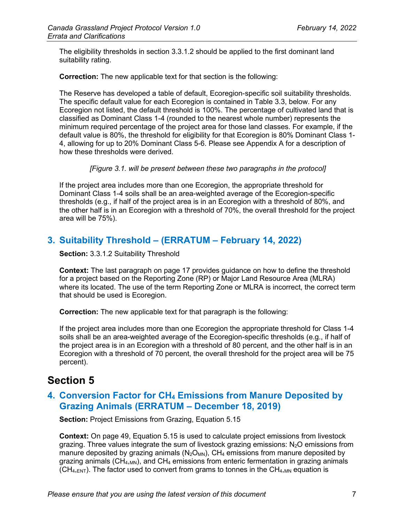The eligibility thresholds in section 3.3.1.2 should be applied to the first dominant land suitability rating.

**Correction:** The new applicable text for that section is the following:

The Reserve has developed a table of default, Ecoregion-specific soil suitability thresholds. The specific default value for each Ecoregion is contained in Table 3.3, below. For any Ecoregion not listed, the default threshold is 100%. The percentage of cultivated land that is classified as Dominant Class 1-4 (rounded to the nearest whole number) represents the minimum required percentage of the project area for those land classes. For example, if the default value is 80%, the threshold for eligibility for that Ecoregion is 80% Dominant Class 1- 4, allowing for up to 20% Dominant Class 5-6. Please see Appendix A for a description of how these thresholds were derived.

*[Figure 3.1. will be present between these two paragraphs in the protocol]*

If the project area includes more than one Ecoregion, the appropriate threshold for Dominant Class 1-4 soils shall be an area-weighted average of the Ecoregion-specific thresholds (e.g., if half of the project area is in an Ecoregion with a threshold of 80%, and the other half is in an Ecoregion with a threshold of 70%, the overall threshold for the project area will be 75%).

## <span id="page-6-0"></span>**3. Suitability Threshold – (ERRATUM – February 14, 2022)**

**Section:** 3.3.1.2 Suitability Threshold

**Context:** The last paragraph on page 17 provides guidance on how to define the threshold for a project based on the Reporting Zone (RP) or Major Land Resource Area (MLRA) where its located. The use of the term Reporting Zone or MLRA is incorrect, the correct term that should be used is Ecoregion.

**Correction:** The new applicable text for that paragraph is the following:

If the project area includes more than one Ecoregion the appropriate threshold for Class 1-4 soils shall be an area-weighted average of the Ecoregion-specific thresholds (e.g., if half of the project area is in an Ecoregion with a threshold of 80 percent, and the other half is in an Ecoregion with a threshold of 70 percent, the overall threshold for the project area will be 75 percent).

## <span id="page-6-1"></span>**Section 5**

### <span id="page-6-2"></span>**4. Conversion Factor for CH4 Emissions from Manure Deposited by Grazing Animals (ERRATUM – December 18, 2019)**

**Section:** Project Emissions from Grazing, Equation 5.15

**Context:** On page 49, Equation 5.15 is used to calculate project emissions from livestock grazing. Three values integrate the sum of livestock grazing emissions:  $N_2O$  emissions from manure deposited by grazing animals ( $N_2O_{MN}$ ), CH<sub>4</sub> emissions from manure deposited by grazing animals ( $CH_{4,MN}$ ), and  $CH_4$  emissions from enteric fermentation in grazing animals  $(CH_{4,ENT})$ . The factor used to convert from grams to tonnes in the  $CH_{4,MN}$  equation is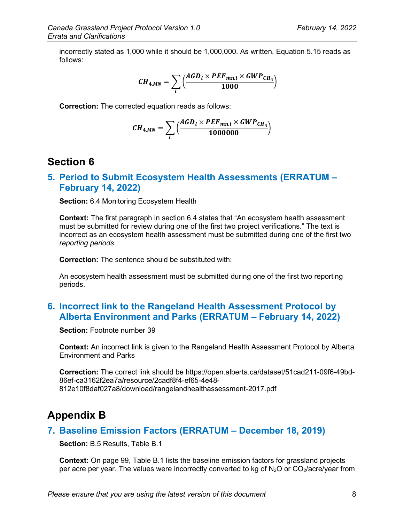incorrectly stated as 1,000 while it should be 1,000,000. As written, Equation 5.15 reads as follows:

$$
CH_{4,MN} = \sum_{L}\Big(\frac{AGD_l \times PEF_{mn,l} \times GWP_{CH_4}}{1000}\Big)
$$

**Correction:** The corrected equation reads as follows:

$$
CH_{4,MN} = \sum_{L} \left( \frac{AGD_l \times PEF_{mn,l} \times GWP_{CH_4}}{1000000} \right)
$$

### <span id="page-7-0"></span>**Section 6**

#### <span id="page-7-1"></span>**5. Period to Submit Ecosystem Health Assessments (ERRATUM – February 14, 2022)**

**Section:** 6.4 Monitoring Ecosystem Health

**Context:** The first paragraph in section 6.4 states that "An ecosystem health assessment must be submitted for review during one of the first two project verifications." The text is incorrect as an ecosystem health assessment must be submitted during one of the first two *reporting periods*.

**Correction:** The sentence should be substituted with:

An ecosystem health assessment must be submitted during one of the first two reporting periods.

### <span id="page-7-2"></span>**6. Incorrect link to the Rangeland Health Assessment Protocol by Alberta Environment and Parks (ERRATUM – February 14, 2022)**

**Section:** Footnote number 39

**Context:** An incorrect link is given to the Rangeland Health Assessment Protocol by Alberta Environment and Parks

**Correction:** The correct link should be https://open.alberta.ca/dataset/51cad211-09f6-49bd-86ef-ca3162f2ea7a/resource/2cadf8f4-ef65-4e48- 812e10f8daf027a8/download/rangelandhealthassessment-2017.pdf

## <span id="page-7-3"></span>**Appendix B**

#### <span id="page-7-4"></span>**7. Baseline Emission Factors (ERRATUM – December 18, 2019)**

**Section:** B.5 Results, Table B.1

**Context:** On page 99, Table B.1 lists the baseline emission factors for grassland projects per acre per year. The values were incorrectly converted to kg of  $N_2O$  or  $CO_2/a$ cre/year from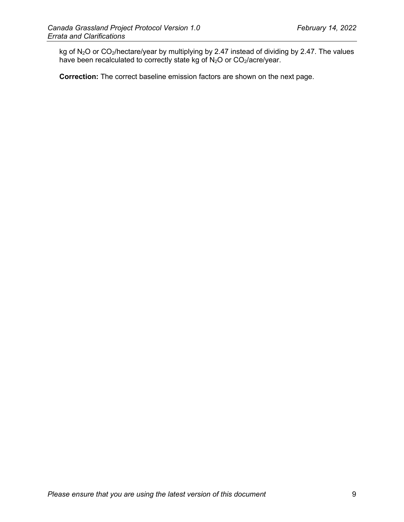kg of N<sub>2</sub>O or CO<sub>2</sub>/hectare/year by multiplying by 2.47 instead of dividing by 2.47. The values have been recalculated to correctly state kg of  $N_2O$  or  $CO_2/a$ cre/year.

**Correction:** The correct baseline emission factors are shown on the next page.